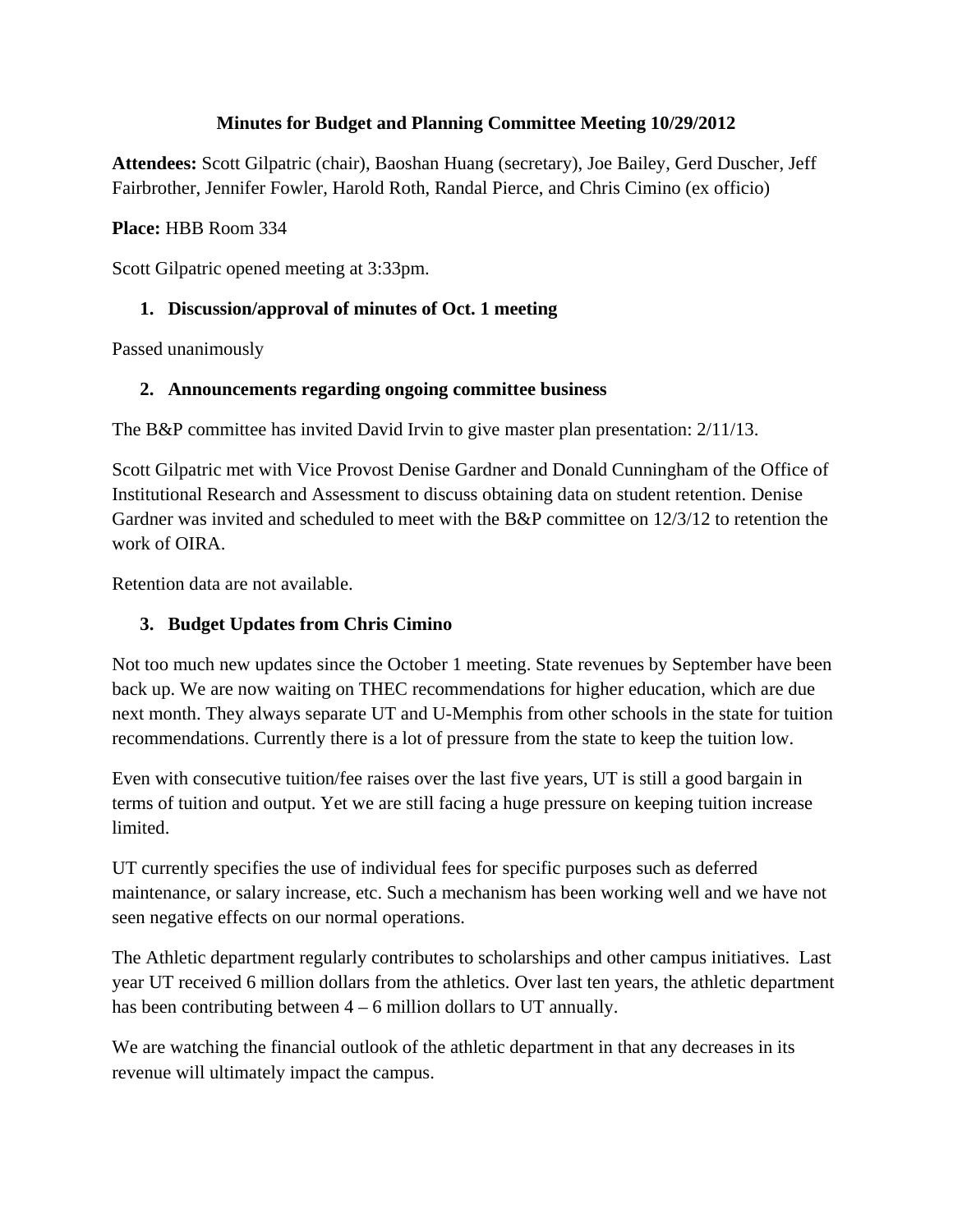## **Minutes for Budget and Planning Committee Meeting 10/29/2012**

**Attendees:** Scott Gilpatric (chair), Baoshan Huang (secretary), Joe Bailey, Gerd Duscher, Jeff Fairbrother, Jennifer Fowler, Harold Roth, Randal Pierce, and Chris Cimino (ex officio)

## **Place:** HBB Room 334

Scott Gilpatric opened meeting at 3:33pm.

# **1. Discussion/approval of minutes of Oct. 1 meeting**

Passed unanimously

## **2. Announcements regarding ongoing committee business**

The B&P committee has invited David Irvin to give master plan presentation: 2/11/13.

Scott Gilpatric met with Vice Provost Denise Gardner and Donald Cunningham of the Office of Institutional Research and Assessment to discuss obtaining data on student retention. Denise Gardner was invited and scheduled to meet with the B&P committee on 12/3/12 to retention the work of OIR A

Retention data are not available.

# **3. Budget Updates from Chris Cimino**

Not too much new updates since the October 1 meeting. State revenues by September have been back up. We are now waiting on THEC recommendations for higher education, which are due next month. They always separate UT and U-Memphis from other schools in the state for tuition recommendations. Currently there is a lot of pressure from the state to keep the tuition low.

Even with consecutive tuition/fee raises over the last five years, UT is still a good bargain in terms of tuition and output. Yet we are still facing a huge pressure on keeping tuition increase limited.

UT currently specifies the use of individual fees for specific purposes such as deferred maintenance, or salary increase, etc. Such a mechanism has been working well and we have not seen negative effects on our normal operations.

The Athletic department regularly contributes to scholarships and other campus initiatives. Last year UT received 6 million dollars from the athletics. Over last ten years, the athletic department has been contributing between  $4 - 6$  million dollars to UT annually.

We are watching the financial outlook of the athletic department in that any decreases in its revenue will ultimately impact the campus.